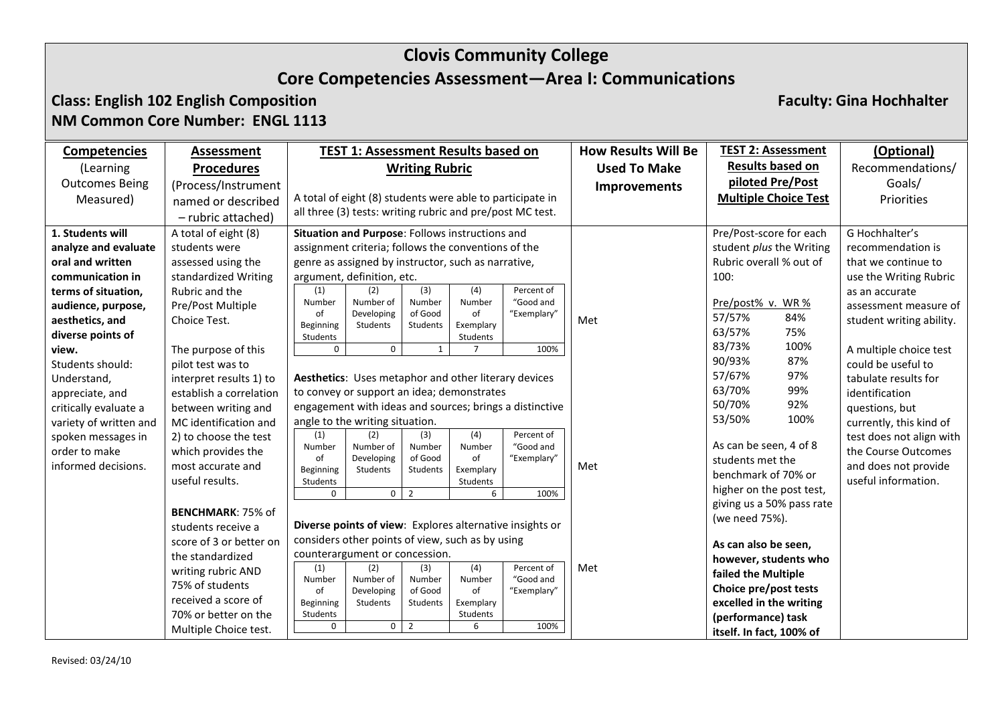#### **Class: English 102 English Composition Faculty: Gina Hochhalter NM Common Core Number: ENGL 1113**

| <b>Competencies</b>    | Assessment               |                                                          | TEST 1: Assessment Results based on                       |                     |                 |                                                           | <b>How Results Will Be</b> | <b>TEST 2: Assessment</b>   |      | (Optional)               |
|------------------------|--------------------------|----------------------------------------------------------|-----------------------------------------------------------|---------------------|-----------------|-----------------------------------------------------------|----------------------------|-----------------------------|------|--------------------------|
| (Learning              | <b>Procedures</b>        | <b>Writing Rubric</b>                                    |                                                           |                     |                 |                                                           | <b>Used To Make</b>        | <b>Results based on</b>     |      | Recommendations/         |
| <b>Outcomes Being</b>  | (Process/Instrument      |                                                          |                                                           |                     |                 |                                                           | <b>Improvements</b>        | piloted Pre/Post            |      | Goals/                   |
| Measured)              | named or described       |                                                          |                                                           |                     |                 | A total of eight (8) students were able to participate in |                            | <b>Multiple Choice Test</b> |      | Priorities               |
|                        | - rubric attached)       |                                                          | all three (3) tests: writing rubric and pre/post MC test. |                     |                 |                                                           |                            |                             |      |                          |
| 1. Students will       | A total of eight (8)     |                                                          | Situation and Purpose: Follows instructions and           |                     |                 |                                                           |                            | Pre/Post-score for each     |      | G Hochhalter's           |
| analyze and evaluate   | students were            |                                                          | assignment criteria; follows the conventions of the       |                     |                 |                                                           |                            | student plus the Writing    |      | recommendation is        |
| oral and written       | assessed using the       |                                                          | genre as assigned by instructor, such as narrative,       |                     |                 |                                                           |                            | Rubric overall % out of     |      | that we continue to      |
| communication in       | standardized Writing     |                                                          | argument, definition, etc.                                |                     |                 |                                                           |                            | 100:                        |      | use the Writing Rubric   |
| terms of situation,    | Rubric and the           | (1)                                                      | (2)                                                       | (3)                 | (4)             | Percent of                                                |                            |                             |      | as an accurate           |
| audience, purpose,     | Pre/Post Multiple        | Number                                                   | Number of                                                 | Number<br>of Good   | Number<br>of    | "Good and                                                 |                            | Pre/post% v. WR%            |      | assessment measure of    |
| aesthetics, and        | Choice Test.             | of<br>Beginning                                          | Developing<br>Students                                    | <b>Students</b>     | Exemplary       | "Exemplary"                                               | Met                        | 57/57%                      | 84%  | student writing ability. |
| diverse points of      |                          | Students                                                 |                                                           |                     | Students        |                                                           |                            | 63/57%                      | 75%  |                          |
| view.                  | The purpose of this      | 0                                                        | $\mathbf 0$                                               | $\mathbf{1}$        |                 | 100%                                                      |                            | 83/73%                      | 100% | A multiple choice test   |
| Students should:       | pilot test was to        |                                                          |                                                           |                     |                 |                                                           |                            | 90/93%                      | 87%  | could be useful to       |
| Understand,            | interpret results 1) to  |                                                          | Aesthetics: Uses metaphor and other literary devices      |                     |                 |                                                           |                            | 57/67%                      | 97%  | tabulate results for     |
| appreciate, and        | establish a correlation  |                                                          | to convey or support an idea; demonstrates                |                     |                 |                                                           |                            | 63/70%                      | 99%  | identification           |
| critically evaluate a  | between writing and      |                                                          |                                                           |                     |                 | engagement with ideas and sources; brings a distinctive   |                            | 50/70%                      | 92%  | questions, but           |
| variety of written and | MC identification and    |                                                          | angle to the writing situation.                           |                     |                 |                                                           |                            | 53/50%                      | 100% | currently, this kind of  |
| spoken messages in     | 2) to choose the test    | (1)                                                      | (2)                                                       | (3)                 | (4)             | Percent of                                                |                            |                             |      | test does not align with |
| order to make          | which provides the       | Number                                                   | Number of                                                 | Number              | Number          | "Good and                                                 |                            | As can be seen, 4 of 8      |      | the Course Outcomes      |
| informed decisions.    | most accurate and        | of<br>Beginning                                          | Developing<br>Students                                    | of Good<br>Students | of<br>Exemplary | "Exemplary"                                               | Met                        | students met the            |      | and does not provide     |
|                        | useful results.          | Students                                                 |                                                           |                     | Students        |                                                           |                            | benchmark of 70% or         |      | useful information.      |
|                        |                          | $\mathbf 0$                                              |                                                           | $0 \mid 2$          | 6               | 100%                                                      |                            | higher on the post test,    |      |                          |
|                        | <b>BENCHMARK: 75% of</b> |                                                          |                                                           |                     |                 |                                                           |                            | giving us a 50% pass rate   |      |                          |
|                        | students receive a       | Diverse points of view: Explores alternative insights or |                                                           |                     |                 |                                                           |                            | (we need 75%).              |      |                          |
|                        | score of 3 or better on  | considers other points of view, such as by using         |                                                           |                     |                 |                                                           |                            | As can also be seen,        |      |                          |
|                        | the standardized         | counterargument or concession.                           |                                                           |                     |                 |                                                           |                            | however, students who       |      |                          |
|                        | writing rubric AND       | (1)                                                      | (2)                                                       | (3)                 | (4)             | Percent of                                                | Met                        | failed the Multiple         |      |                          |
|                        | 75% of students          | Number<br>of                                             | Number of<br>Developing                                   | Number<br>of Good   | Number<br>of    | "Good and<br>"Exemplary"                                  |                            | Choice pre/post tests       |      |                          |
|                        | received a score of      | Beginning                                                | Students                                                  | Students            | Exemplary       |                                                           |                            | excelled in the writing     |      |                          |
|                        | 70% or better on the     | Students                                                 |                                                           |                     | Students        |                                                           |                            | (performance) task          |      |                          |
|                        | Multiple Choice test.    | 0                                                        | 0                                                         | $\overline{2}$      | 6               | 100%                                                      |                            | itself. In fact, 100% of    |      |                          |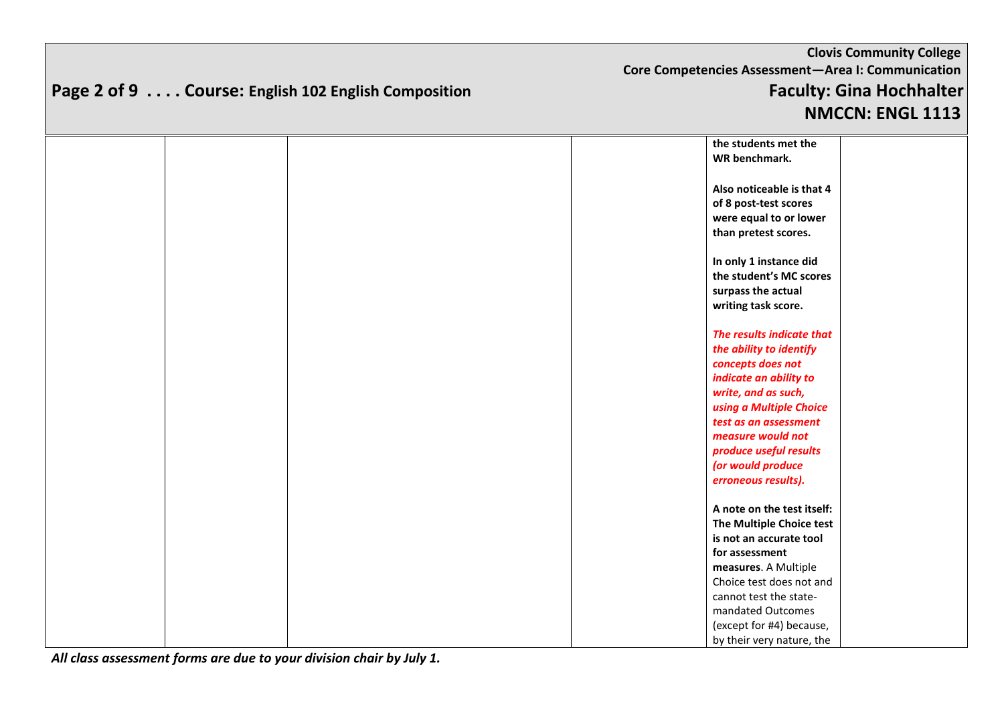#### **Clovis Community College Core Competencies Assessment—Area I: Communication Page 2 of 9 . . . . Course: English 102 English Composition Faculty: Gina Hochhalter NMCCN: ENGL 1113**

|  |  | the students met the       |  |
|--|--|----------------------------|--|
|  |  | WR benchmark.              |  |
|  |  |                            |  |
|  |  | Also noticeable is that 4  |  |
|  |  | of 8 post-test scores      |  |
|  |  | were equal to or lower     |  |
|  |  | than pretest scores.       |  |
|  |  |                            |  |
|  |  | In only 1 instance did     |  |
|  |  | the student's MC scores    |  |
|  |  | surpass the actual         |  |
|  |  | writing task score.        |  |
|  |  |                            |  |
|  |  | The results indicate that  |  |
|  |  | the ability to identify    |  |
|  |  | concepts does not          |  |
|  |  | indicate an ability to     |  |
|  |  | write, and as such,        |  |
|  |  | using a Multiple Choice    |  |
|  |  | test as an assessment      |  |
|  |  | measure would not          |  |
|  |  | produce useful results     |  |
|  |  |                            |  |
|  |  | (or would produce          |  |
|  |  | erroneous results).        |  |
|  |  | A note on the test itself: |  |
|  |  |                            |  |
|  |  | The Multiple Choice test   |  |
|  |  | is not an accurate tool    |  |
|  |  | for assessment             |  |
|  |  | measures. A Multiple       |  |
|  |  | Choice test does not and   |  |
|  |  | cannot test the state-     |  |
|  |  | mandated Outcomes          |  |
|  |  | (except for #4) because,   |  |
|  |  | by their very nature, the  |  |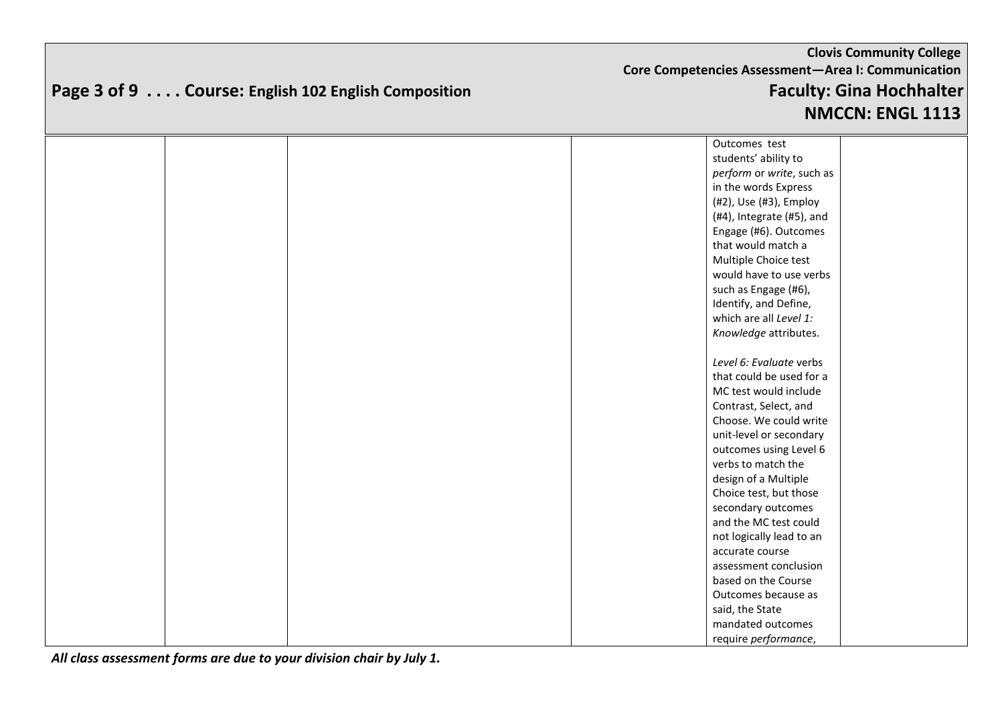# **Clovis Community College Core Competencies Assessment—Area I: Communication Page 3 of 9 . . . . Course: English 102 English Composition Faculty: Gina Hochhalter**

#### **NMCCN: ENGL 1113** Outcomes test students' ability to *perform* or *write*, such as in the words Express (#2), Use (#3), Employ (#4), Integrate (#5), and Engage (#6). Outcomes that would match a Multiple Choice test would have to use verbs such as Engage (#6), Identify, and Define, which are all *Level 1: Knowledge* attributes. *Level 6: Evaluate* verbs that could be used for a MC test would include Contrast, Select, and Choose. We could write unit-level or secondary outcomes using Level 6 verbs to match the design of a Multiple Choice test, but those secondary outcomes and the MC test could not logically lead to an accurate course assessment conclusion based on the Course Outcomes because as said, the State mandated outcomes require *performance*,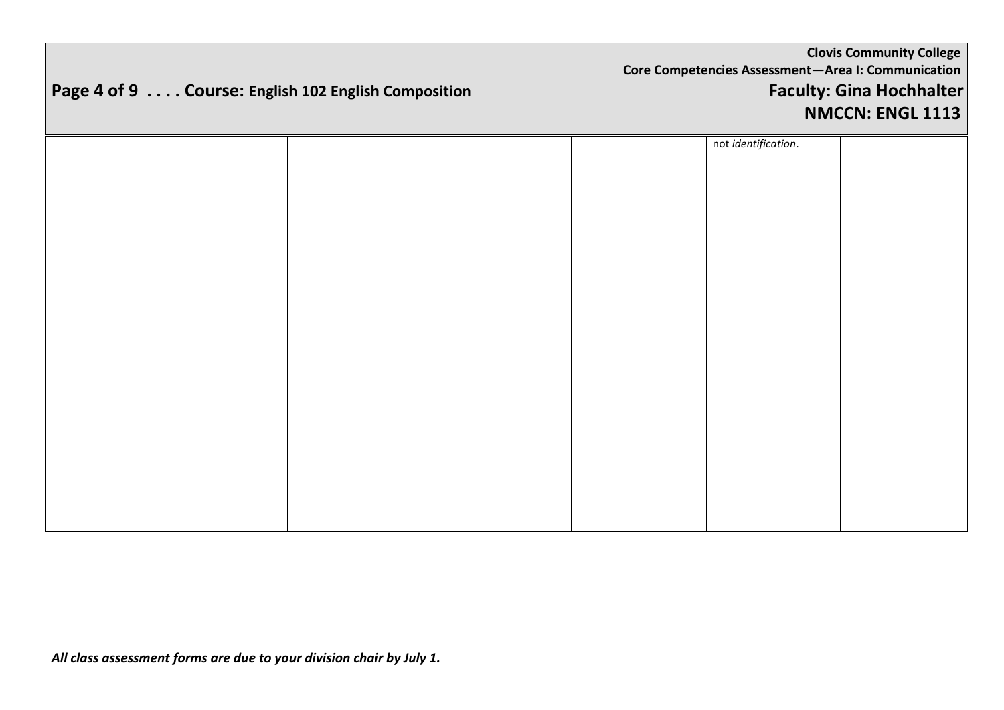# **Page 4 of 9 . . . . Course: English 102 English Composition Faculty: Gina Hochhalter**

|  |  | not identification. |  |
|--|--|---------------------|--|
|  |  |                     |  |
|  |  |                     |  |
|  |  |                     |  |
|  |  |                     |  |
|  |  |                     |  |
|  |  |                     |  |
|  |  |                     |  |
|  |  |                     |  |
|  |  |                     |  |
|  |  |                     |  |
|  |  |                     |  |
|  |  |                     |  |
|  |  |                     |  |
|  |  |                     |  |
|  |  |                     |  |
|  |  |                     |  |
|  |  |                     |  |
|  |  |                     |  |
|  |  |                     |  |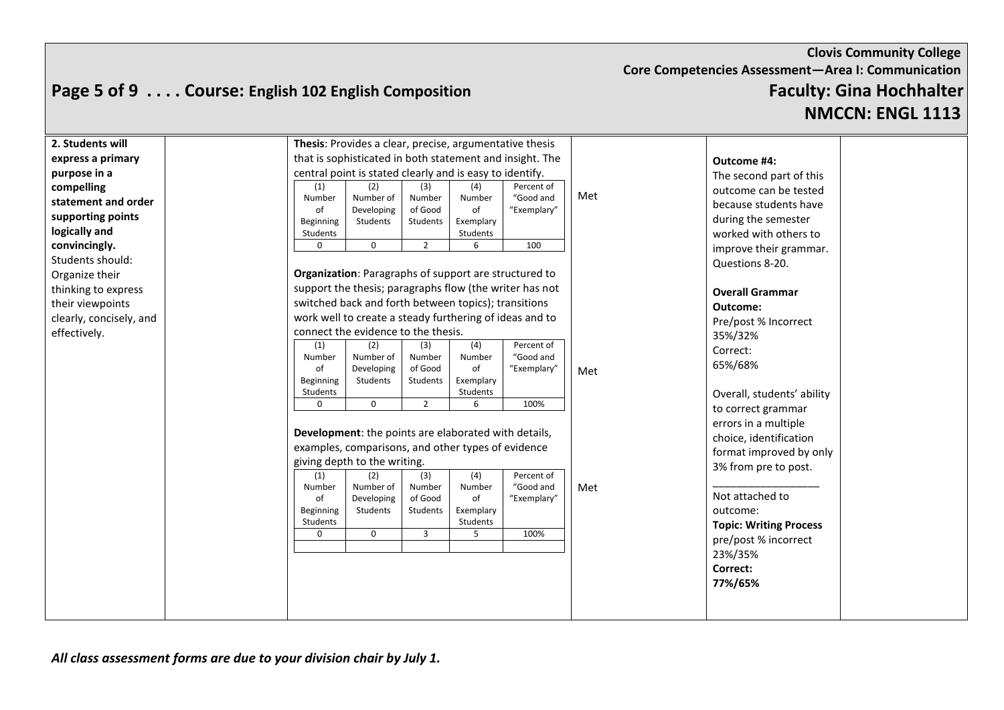#### **Clovis Community College Core Competencies Assessment—Area I: Communication Page 5 of 9 . . . . Course: English 102 English Composition Faculty: Gina Hochhalter**

**NMCCN: ENGL 1113**

| 2. Students will        |                         | <b>Thesis:</b> Provides a clear, precise, argumentative thesis |                     |                       |                         |     |                               |  |
|-------------------------|-------------------------|----------------------------------------------------------------|---------------------|-----------------------|-------------------------|-----|-------------------------------|--|
| express a primary       |                         | that is sophisticated in both statement and insight. The       |                     |                       |                         |     | Outcome #4:                   |  |
| purpose in a            |                         | central point is stated clearly and is easy to identify.       |                     |                       |                         |     | The second part of this       |  |
| compelling              | (1)                     | (2)                                                            | (3)                 | (4)                   | Percent of              |     | outcome can be tested         |  |
| statement and order     | Number                  | Number of                                                      | Number              | Number                | "Good and               | Met | because students have         |  |
| supporting points       | of                      | Developing                                                     | of Good<br>Students | of                    | "Exemplary"             |     | during the semester           |  |
| logically and           | Beginning<br>Students   | Students                                                       |                     | Exemplary<br>Students |                         |     | worked with others to         |  |
| convincingly.           | $\Omega$                | $\mathbf 0$                                                    | $\overline{2}$      | 6                     | 100                     |     | improve their grammar.        |  |
| Students should:        |                         |                                                                |                     |                       |                         |     | Questions 8-20.               |  |
| Organize their          |                         | Organization: Paragraphs of support are structured to          |                     |                       |                         |     |                               |  |
| thinking to express     |                         | support the thesis; paragraphs flow (the writer has not        |                     |                       |                         |     | <b>Overall Grammar</b>        |  |
| their viewpoints        |                         | switched back and forth between topics); transitions           |                     |                       |                         |     | Outcome:                      |  |
| clearly, concisely, and |                         | work well to create a steady furthering of ideas and to        |                     |                       |                         |     | Pre/post % Incorrect          |  |
| effectively.            |                         | connect the evidence to the thesis.                            |                     |                       |                         |     |                               |  |
|                         | (1)                     | (2)                                                            | (3)                 | (4)                   | Percent of              |     | 35%/32%                       |  |
|                         | Number                  | Number of                                                      | Number              | Number                | "Good and               |     | Correct:                      |  |
|                         | оf                      | Developing                                                     | of Good             | of                    | "Exemplary"             | Met | 65%/68%                       |  |
|                         | Beginning               | Students                                                       | Students            | Exemplary             |                         |     |                               |  |
|                         | Students<br>$\mathbf 0$ | $\mathbf 0$                                                    | $\overline{2}$      | Students<br>6         | 100%                    |     | Overall, students' ability    |  |
|                         |                         |                                                                |                     |                       |                         |     | to correct grammar            |  |
|                         |                         | Development: the points are elaborated with details,           |                     |                       |                         |     | errors in a multiple          |  |
|                         |                         |                                                                |                     |                       |                         |     | choice, identification        |  |
|                         |                         | examples, comparisons, and other types of evidence             |                     |                       |                         |     | format improved by only       |  |
|                         |                         | giving depth to the writing.                                   |                     |                       |                         |     | 3% from pre to post.          |  |
|                         | (1)<br>Number           | (2)<br>Number of                                               | (3)<br>Number       | (4)<br>Number         | Percent of<br>"Good and | Met |                               |  |
|                         | of                      | Developing                                                     | of Good             | of                    | "Exemplary"             |     | Not attached to               |  |
|                         | Beginning               | Students                                                       | Students            | Exemplary             |                         |     | outcome:                      |  |
|                         | Students                |                                                                |                     | Students              |                         |     | <b>Topic: Writing Process</b> |  |
|                         | $\mathbf 0$             | $\mathbf 0$                                                    | $\overline{3}$      | 5                     | 100%                    |     | pre/post % incorrect          |  |
|                         |                         |                                                                |                     |                       |                         |     | 23%/35%                       |  |
|                         |                         |                                                                |                     |                       |                         |     | Correct:                      |  |
|                         |                         |                                                                |                     |                       |                         |     | 77%/65%                       |  |
|                         |                         |                                                                |                     |                       |                         |     |                               |  |
|                         |                         |                                                                |                     |                       |                         |     |                               |  |
|                         |                         |                                                                |                     |                       |                         |     |                               |  |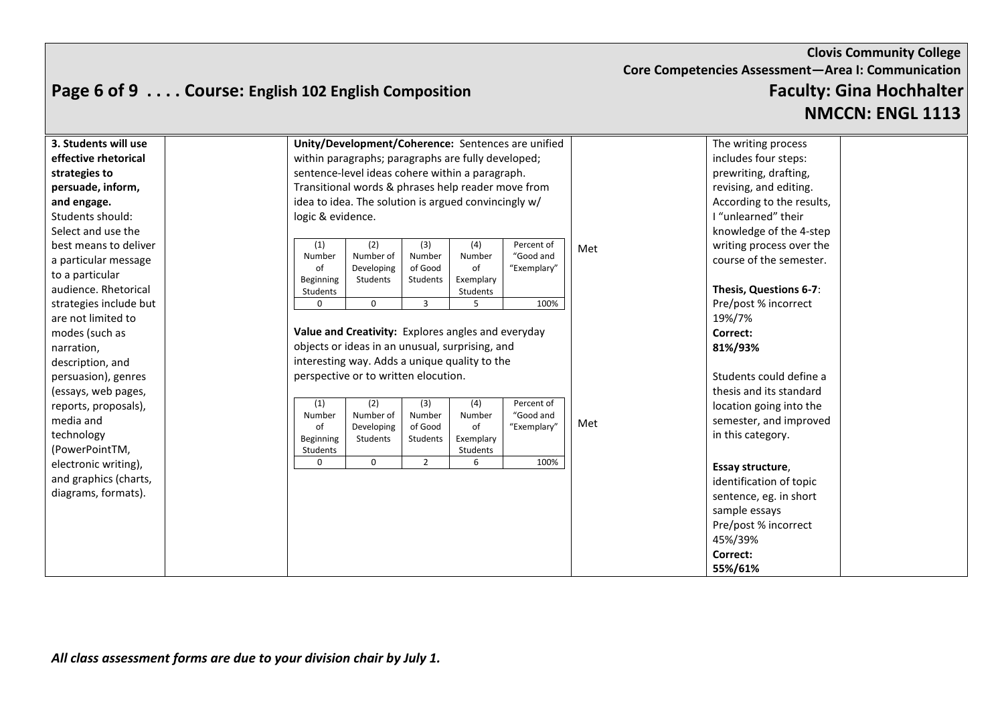#### **Page 6 of 9 . . . . Course: English 102 English Composition Faculty: Gina Hochhalter**

**NMCCN: ENGL 1113**

| 3. Students will use   | Unity/Development/Coherence: Sentences are unified   |                     |                 |             |     | The writing process       |
|------------------------|------------------------------------------------------|---------------------|-----------------|-------------|-----|---------------------------|
| effective rhetorical   | within paragraphs; paragraphs are fully developed;   |                     |                 |             |     | includes four steps:      |
| strategies to          | sentence-level ideas cohere within a paragraph.      |                     |                 |             |     | prewriting, drafting,     |
| persuade, inform,      | Transitional words & phrases help reader move from   |                     |                 |             |     | revising, and editing.    |
| and engage.            | idea to idea. The solution is argued convincingly w/ |                     |                 |             |     | According to the results, |
| Students should:       | logic & evidence.                                    |                     |                 |             |     | I "unlearned" their       |
| Select and use the     |                                                      |                     |                 |             |     | knowledge of the 4-step   |
| best means to deliver  | (1)<br>(2)                                           | (3)                 | (4)             | Percent of  | Met | writing process over the  |
| a particular message   | Number of<br>Number                                  | Number              | Number          | "Good and   |     | course of the semester.   |
| to a particular        | Developing<br>of<br>Beginning<br>Students            | of Good<br>Students | of<br>Exemplary | "Exemplary" |     |                           |
| audience. Rhetorical   | Students                                             |                     | Students        |             |     | Thesis, Questions 6-7:    |
| strategies include but | $\mathbf{0}$<br>$\Omega$                             | 3                   | 5               | 100%        |     | Pre/post % incorrect      |
| are not limited to     |                                                      |                     |                 |             |     | 19%/7%                    |
| modes (such as         | Value and Creativity: Explores angles and everyday   |                     |                 |             |     | Correct:                  |
| narration,             | objects or ideas in an unusual, surprising, and      |                     |                 |             |     | 81%/93%                   |
| description, and       | interesting way. Adds a unique quality to the        |                     |                 |             |     |                           |
| persuasion), genres    | perspective or to written elocution.                 |                     |                 |             |     | Students could define a   |
| (essays, web pages,    |                                                      |                     |                 |             |     | thesis and its standard   |
| reports, proposals),   | (1)<br>(2)                                           | (3)                 | (4)             | Percent of  |     | location going into the   |
| media and              | Number of<br>Number                                  | Number              | Number          | "Good and   | Met | semester, and improved    |
| technology             | Developing<br>of<br><b>Beginning</b><br>Students     | of Good<br>Students | of<br>Exemplary | "Exemplary" |     | in this category.         |
| (PowerPointTM,         | Students                                             |                     | Students        |             |     |                           |
| electronic writing),   | $\mathbf{0}$<br>$\mathbf 0$                          | $\overline{2}$      | 6               | 100%        |     | Essay structure,          |
| and graphics (charts,  |                                                      |                     |                 |             |     | identification of topic   |
| diagrams, formats).    |                                                      |                     |                 |             |     | sentence, eg. in short    |
|                        |                                                      |                     |                 |             |     | sample essays             |
|                        |                                                      |                     |                 |             |     | Pre/post % incorrect      |
|                        |                                                      |                     |                 |             |     | 45%/39%                   |
|                        |                                                      |                     |                 |             |     | Correct:                  |
|                        |                                                      |                     |                 |             |     | 55%/61%                   |
|                        |                                                      |                     |                 |             |     |                           |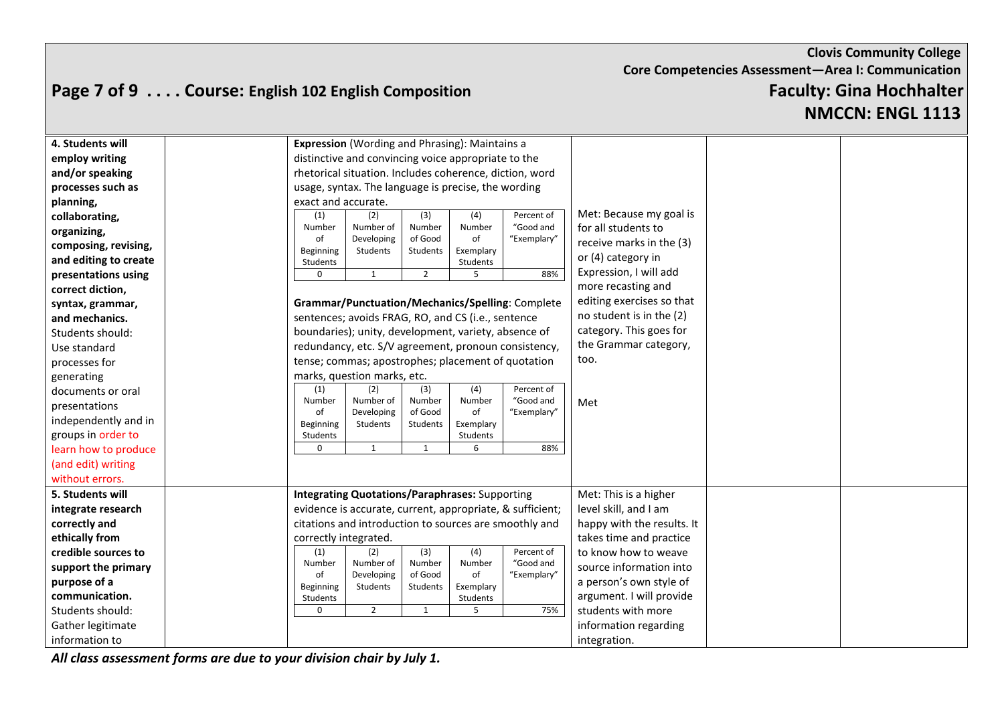## **Page 7 of 9 . . . . Course: English 102 English Composition Faculty: Gina Hochhalter**

# **NMCCN: ENGL 1113**

| 4. Students will      |                 | <b>Expression</b> (Wording and Phrasing): Maintains a   |                     |                 |                                                           |                            |  |
|-----------------------|-----------------|---------------------------------------------------------|---------------------|-----------------|-----------------------------------------------------------|----------------------------|--|
| employ writing        |                 | distinctive and convincing voice appropriate to the     |                     |                 |                                                           |                            |  |
| and/or speaking       |                 | rhetorical situation. Includes coherence, diction, word |                     |                 |                                                           |                            |  |
| processes such as     |                 | usage, syntax. The language is precise, the wording     |                     |                 |                                                           |                            |  |
| planning,             |                 | exact and accurate.                                     |                     |                 |                                                           |                            |  |
| collaborating,        | (1)             | (2)                                                     | (3)                 | (4)             | Percent of                                                | Met: Because my goal is    |  |
| organizing,           | Number          | Number of                                               | Number              | Number          | "Good and                                                 | for all students to        |  |
| composing, revising,  | οf<br>Beginning | Developing<br>Students                                  | of Good<br>Students | of<br>Exemplary | "Exemplary"                                               | receive marks in the (3)   |  |
| and editing to create | Students        |                                                         |                     | Students        |                                                           | or (4) category in         |  |
| presentations using   | $\mathbf 0$     | $\mathbf{1}$                                            | $\overline{2}$      | -5              | 88%                                                       | Expression, I will add     |  |
| correct diction,      |                 |                                                         |                     |                 |                                                           | more recasting and         |  |
| syntax, grammar,      |                 |                                                         |                     |                 | Grammar/Punctuation/Mechanics/Spelling: Complete          | editing exercises so that  |  |
| and mechanics.        |                 | sentences; avoids FRAG, RO, and CS (i.e., sentence      |                     |                 |                                                           | no student is in the (2)   |  |
| Students should:      |                 | boundaries); unity, development, variety, absence of    |                     |                 |                                                           | category. This goes for    |  |
| Use standard          |                 | redundancy, etc. S/V agreement, pronoun consistency,    |                     |                 |                                                           | the Grammar category,      |  |
| processes for         |                 | tense; commas; apostrophes; placement of quotation      |                     |                 |                                                           | too.                       |  |
| generating            |                 | marks, question marks, etc.                             |                     |                 |                                                           |                            |  |
| documents or oral     | (1)             | (2)                                                     | (3)                 | (4)             | Percent of                                                |                            |  |
| presentations         | Number<br>of    | Number of<br>Developing                                 | Number<br>of Good   | Number<br>of    | "Good and<br>"Exemplary"                                  | Met                        |  |
| independently and in  | Beginning       | Students                                                | Students            | Exemplary       |                                                           |                            |  |
| groups in order to    | Students        |                                                         |                     | Students        |                                                           |                            |  |
| learn how to produce  | $\mathbf 0$     | $\mathbf{1}$                                            | $\mathbf{1}$        | 6               | 88%                                                       |                            |  |
| (and edit) writing    |                 |                                                         |                     |                 |                                                           |                            |  |
| without errors.       |                 |                                                         |                     |                 |                                                           |                            |  |
| 5. Students will      |                 | <b>Integrating Quotations/Paraphrases: Supporting</b>   |                     |                 |                                                           | Met: This is a higher      |  |
| integrate research    |                 |                                                         |                     |                 | evidence is accurate, current, appropriate, & sufficient; | level skill, and I am      |  |
| correctly and         |                 | citations and introduction to sources are smoothly and  |                     |                 |                                                           | happy with the results. It |  |
| ethically from        |                 | correctly integrated.                                   |                     |                 |                                                           | takes time and practice    |  |
| credible sources to   | (1)             | (2)                                                     | (3)                 | (4)             | Percent of                                                | to know how to weave       |  |
| support the primary   | Number          | Number of                                               | Number<br>of Good   | Number<br>of    | "Good and<br>"Exemplary"                                  | source information into    |  |
| purpose of a          | οf<br>Beginning | Developing<br>Students                                  | Students            | Exemplary       |                                                           | a person's own style of    |  |
| communication.        | Students        |                                                         |                     | Students        |                                                           | argument. I will provide   |  |
| Students should:      | $\mathbf 0$     | $\overline{2}$                                          | $\mathbf{1}$        | 5               | 75%                                                       | students with more         |  |
| Gather legitimate     |                 |                                                         |                     |                 |                                                           | information regarding      |  |
| information to        |                 |                                                         |                     |                 |                                                           | integration.               |  |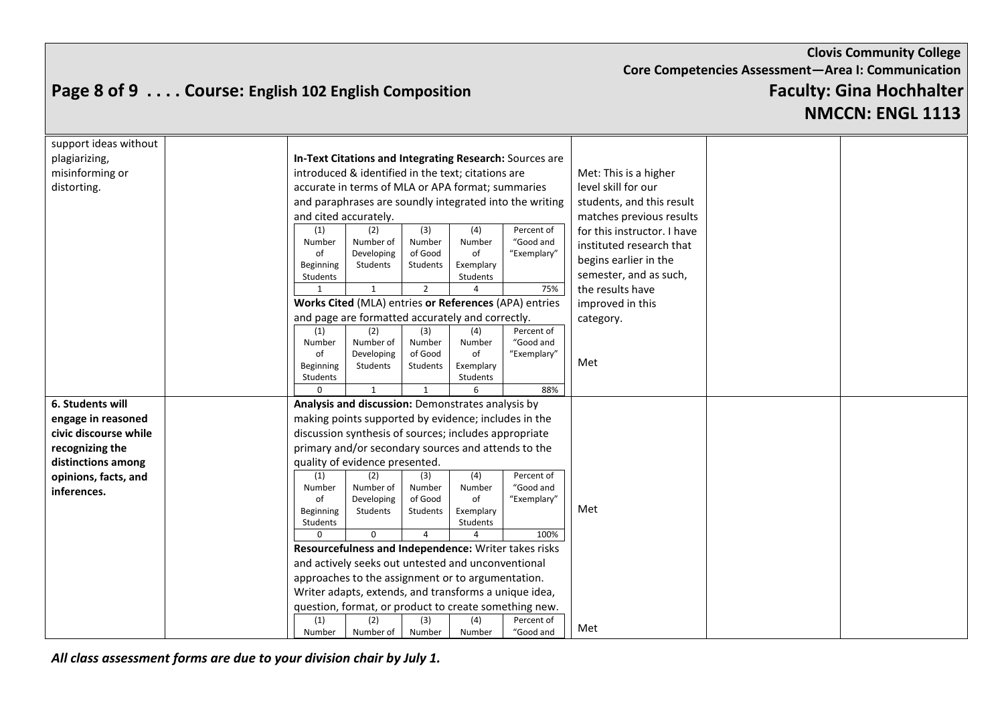# **Page 8 of 9 . . . . Course: English 102 English Composition Faculty: Gina Hochhalter**

**NMCCN: ENGL 1113**

| support ideas without |                                                         |                     |                       |             |                             |  |  |
|-----------------------|---------------------------------------------------------|---------------------|-----------------------|-------------|-----------------------------|--|--|
| plagiarizing,         | In-Text Citations and Integrating Research: Sources are |                     |                       |             |                             |  |  |
| misinforming or       | introduced & identified in the text; citations are      |                     |                       |             | Met: This is a higher       |  |  |
| distorting.           | accurate in terms of MLA or APA format; summaries       |                     |                       |             | level skill for our         |  |  |
|                       | and paraphrases are soundly integrated into the writing |                     |                       |             | students, and this result   |  |  |
|                       | and cited accurately.                                   |                     |                       |             | matches previous results    |  |  |
|                       | (2)<br>(1)                                              | (3)                 | (4)                   | Percent of  | for this instructor. I have |  |  |
|                       | Number<br>Number of                                     | Number              | Number                | "Good and   | instituted research that    |  |  |
|                       | of<br>Developing                                        | of Good             | of                    | "Exemplary" | begins earlier in the       |  |  |
|                       | Beginning<br>Students<br>Students                       | Students            | Exemplary<br>Students |             | semester, and as such,      |  |  |
|                       | $\mathbf{1}$                                            | $\overline{2}$      |                       | 75%         | the results have            |  |  |
|                       | Works Cited (MLA) entries or References (APA) entries   |                     |                       |             | improved in this            |  |  |
|                       | and page are formatted accurately and correctly.        |                     |                       |             | category.                   |  |  |
|                       | (1)<br>(2)<br>(3)<br>(4)                                |                     |                       |             |                             |  |  |
|                       | Number of<br>Number                                     | Number              | Number                | "Good and   |                             |  |  |
|                       | of<br>Developing                                        | of Good             | of                    | "Exemplary" | Met                         |  |  |
|                       | Beginning<br>Students<br>Students                       | Students            | Exemplary<br>Students |             |                             |  |  |
|                       |                                                         |                     |                       | 88%         |                             |  |  |
| 6. Students will      | Analysis and discussion: Demonstrates analysis by       |                     |                       |             |                             |  |  |
| engage in reasoned    | making points supported by evidence; includes in the    |                     |                       |             |                             |  |  |
| civic discourse while | discussion synthesis of sources; includes appropriate   |                     |                       |             |                             |  |  |
| recognizing the       | primary and/or secondary sources and attends to the     |                     |                       |             |                             |  |  |
| distinctions among    | quality of evidence presented.                          |                     |                       |             |                             |  |  |
| opinions, facts, and  | (2)<br>(1)                                              | (3)                 | (4)                   | Percent of  |                             |  |  |
| inferences.           | Number<br>Number of                                     | Number              | Number                | "Good and   |                             |  |  |
|                       | of<br>Developing<br>Beginning<br>Students               | of Good<br>Students | of<br>Exemplary       | "Exemplary" | Met                         |  |  |
|                       | Students                                                |                     | Students              |             |                             |  |  |
|                       | $\Omega$<br>$\Omega$                                    | $\overline{a}$      |                       | 100%        |                             |  |  |
|                       | Resourcefulness and Independence: Writer takes risks    |                     |                       |             |                             |  |  |
|                       | and actively seeks out untested and unconventional      |                     |                       |             |                             |  |  |
|                       | approaches to the assignment or to argumentation.       |                     |                       |             |                             |  |  |
|                       | Writer adapts, extends, and transforms a unique idea,   |                     |                       |             |                             |  |  |
|                       | question, format, or product to create something new.   |                     |                       |             |                             |  |  |
|                       | (1)<br>(2)                                              | (3)                 | (4)                   | Percent of  |                             |  |  |
|                       | Number<br>Number of                                     | Number              | Number                | "Good and   | Met                         |  |  |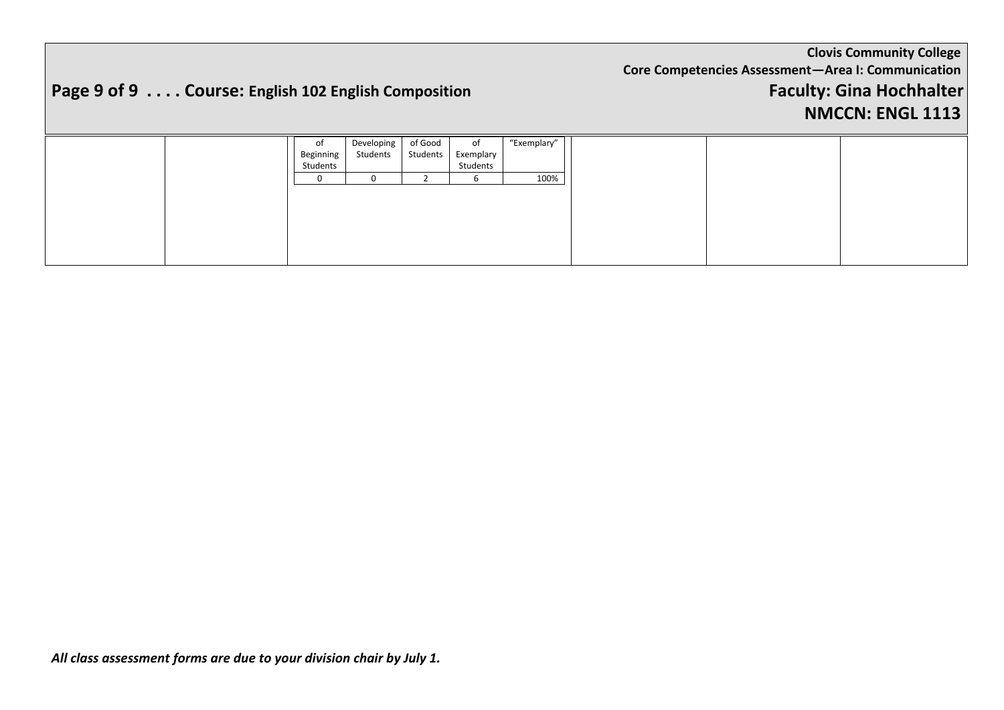# **Page 9 of 9 . . . . Course: English 102 English Composition Faculty: Gina Hochhalter**

#### **NMCCN: ENGL 1113**

|  | of<br>Beginning | Developing<br>Students | of Good<br>Students | ot<br>Exemplary | "Exemplary" |
|--|-----------------|------------------------|---------------------|-----------------|-------------|
|  | Students        |                        |                     | Students        |             |
|  | 0               |                        |                     |                 | 100%        |
|  |                 |                        |                     |                 |             |
|  |                 |                        |                     |                 |             |
|  |                 |                        |                     |                 |             |
|  |                 |                        |                     |                 |             |
|  |                 |                        |                     |                 |             |
|  |                 |                        |                     |                 |             |